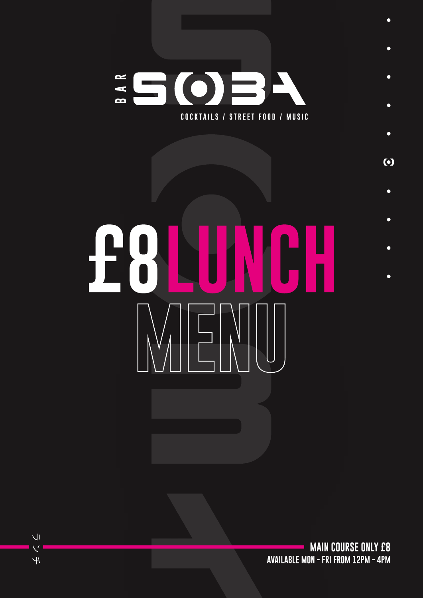

## $\bullet$ **F&N** NGH T  $\bullet$  $\bullet$

**MAIN COURSE ONLY £8 AVAILABLE MON - FRI FROM 12PM - 4PM**

 $\bullet$ 

 $\bullet$ 

 $\bullet$ 

 $\bullet$ 

 $\odot$ 

 $\bullet$ 

 $\overline{U}$  $\overline{\nabla}$  $\overline{+}$